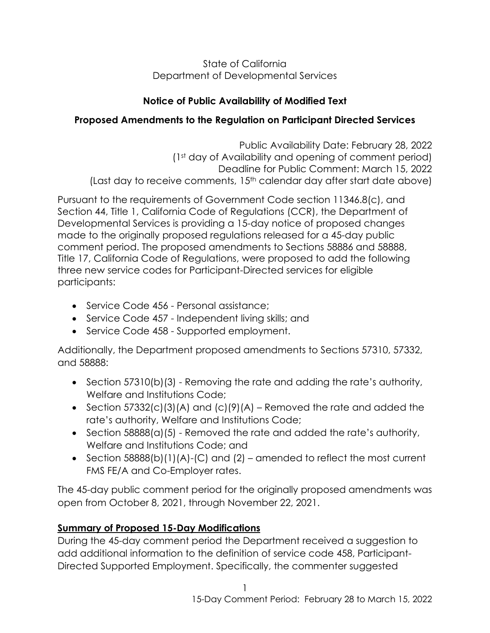State of California Department of Developmental Services

# **Notice of Public Availability of Modified Text**

# **Proposed Amendments to the Regulation on Participant Directed Services**

Public Availability Date: February 28, 2022 (1st day of Availability and opening of comment period) Deadline for Public Comment: March 15, 2022 (Last day to receive comments, 15<sup>th</sup> calendar day after start date above)

Pursuant to the requirements of Government Code section 11346.8(c), and Section 44, Title 1, California Code of Regulations (CCR), the Department of Developmental Services is providing a 15-day notice of proposed changes made to the originally proposed regulations released for a 45-day public comment period. The proposed amendments to Sections 58886 and 58888, Title 17, California Code of Regulations, were proposed to add the following three new service codes for Participant-Directed services for eligible participants:

- Service Code 456 Personal assistance;
- Service Code 457 Independent living skills; and
- Service Code 458 Supported employment.

Additionally, the Department proposed amendments to Sections 57310, 57332, and 58888:

- Section 57310(b)(3) Removing the rate and adding the rate's authority, Welfare and Institutions Code;
- Section 57332(c)(3)(A) and (c)(9)(A) Removed the rate and added the rate's authority, Welfare and Institutions Code;
- Section 58888(a)(5) Removed the rate and added the rate's authority, Welfare and Institutions Code; and
- Section 58888 $(b)(1)(A)-(C)$  and  $(2)$  amended to reflect the most current FMS FE/A and Co-Employer rates.

The 45-day public comment period for the originally proposed amendments was open from October 8, 2021, through November 22, 2021.

## **Summary of Proposed 15-Day Modifications**

During the 45-day comment period the Department received a suggestion to add additional information to the definition of service code 458, Participant-Directed Supported Employment. Specifically, the commenter suggested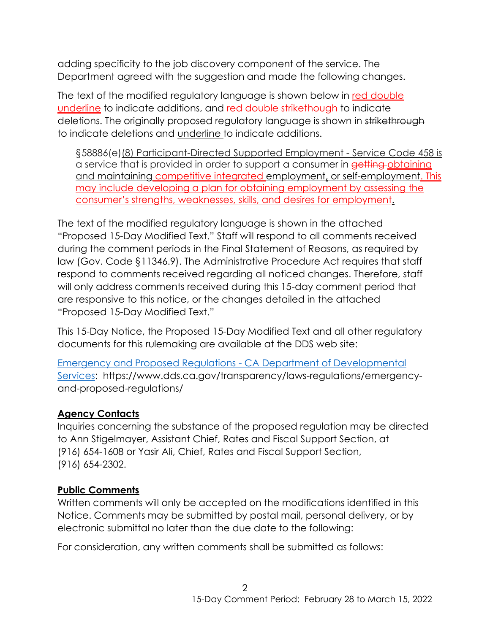adding specificity to the job discovery component of the service. The Department agreed with the suggestion and made the following changes.

The text of the modified regulatory language is shown below in red double underline to indicate additions, and red double strike though to indicate deletions. The originally proposed regulatory language is shown in strikethrough to indicate deletions and underline to indicate additions.

§58886(e)(8) Participant-Directed Supported Employment - Service Code 458 is a service that is provided in order to support a consumer in getting obtaining and maintaining competitive integrated employment, or self-employment. This may include developing a plan for obtaining employment by assessing the consumer's strengths, weaknesses, skills, and desires for employment.

The text of the modified regulatory language is shown in the attached "Proposed 15-Day Modified Text." Staff will respond to all comments received during the comment periods in the Final Statement of Reasons, as required by law (Gov. Code §11346.9). The Administrative Procedure Act requires that staff respond to comments received regarding all noticed changes. Therefore, staff will only address comments received during this 15-day comment period that are responsive to this notice, or the changes detailed in the attached "Proposed 15-Day Modified Text."

This 15-Day Notice, the Proposed 15-Day Modified Text and all other regulatory documents for this rulemaking are available at the DDS web site:

[Emergency and Proposed Regulations -](https://www.dds.ca.gov/transparency/laws-regulations/emergency-and-proposed-regulations/) CA Department of Developmental [Services:](https://www.dds.ca.gov/transparency/laws-regulations/emergency-and-proposed-regulations/) https://www.dds.ca.gov/transparency/laws-regulations/emergencyand-proposed-regulations/

## **Agency Contacts**

Inquiries concerning the substance of the proposed regulation may be directed to Ann Stigelmayer, Assistant Chief, Rates and Fiscal Support Section, at (916) 654-1608 or Yasir Ali, Chief, Rates and Fiscal Support Section, (916) 654-2302.

#### **Public Comments**

Written comments will only be accepted on the modifications identified in this Notice. Comments may be submitted by postal mail, personal delivery, or by electronic submittal no later than the due date to the following:

For consideration, any written comments shall be submitted as follows: